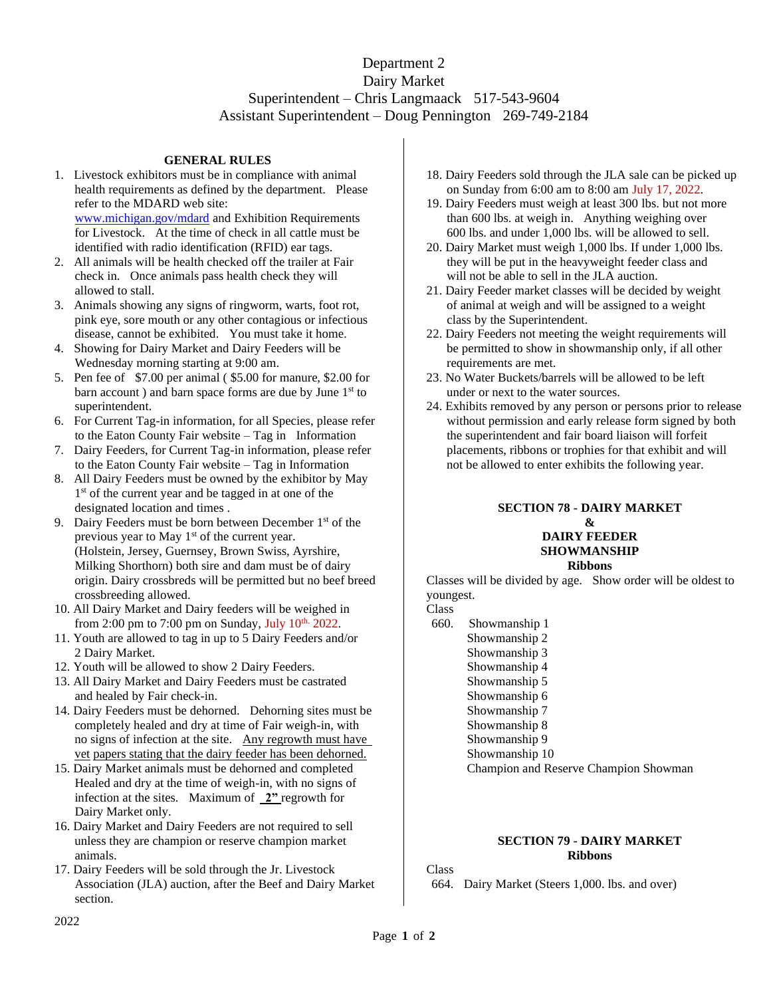# Department 2 Dairy Market Superintendent – Chris Langmaack 517-543-9604 Assistant Superintendent – Doug Pennington 269-749-2184

# **GENERAL RULES**

- 1. Livestock exhibitors must be in compliance with animal health requirements as defined by the department. Please refer to the MDARD web site: [www.michigan.gov/mdard](http://www.michigan.gov/mdard) and Exhibition Requirements for Livestock. At the time of check in all cattle must be identified with radio identification (RFID) ear tags.
- 2. All animals will be health checked off the trailer at Fair check in. Once animals pass health check they will allowed to stall.
- 3. Animals showing any signs of ringworm, warts, foot rot, pink eye, sore mouth or any other contagious or infectious disease, cannot be exhibited. You must take it home.
- 4. Showing for Dairy Market and Dairy Feeders will be Wednesday morning starting at 9:00 am.
- 5. Pen fee of \$7.00 per animal ( \$5.00 for manure, \$2.00 for barn account ) and barn space forms are due by June 1<sup>st</sup> to superintendent.
- 6. For Current Tag-in information, for all Species, please refer to the Eaton County Fair website – Tag in Information
- 7. Dairy Feeders, for Current Tag-in information, please refer to the Eaton County Fair website – Tag in Information
- 8. All Dairy Feeders must be owned by the exhibitor by May 1<sup>st</sup> of the current year and be tagged in at one of the designated location and times .
- 9. Dairy Feeders must be born between December 1<sup>st</sup> of the previous year to May 1<sup>st</sup> of the current year. (Holstein, Jersey, Guernsey, Brown Swiss, Ayrshire, Milking Shorthorn) both sire and dam must be of dairy origin. Dairy crossbreds will be permitted but no beef breed crossbreeding allowed.
- 10. All Dairy Market and Dairy feeders will be weighed in from 2:00 pm to 7:00 pm on Sunday, July  $10<sup>th.</sup>$  2022.
- 11. Youth are allowed to tag in up to 5 Dairy Feeders and/or 2 Dairy Market.
- 12. Youth will be allowed to show 2 Dairy Feeders.
- 13. All Dairy Market and Dairy Feeders must be castrated and healed by Fair check-in.
- 14. Dairy Feeders must be dehorned. Dehorning sites must be completely healed and dry at time of Fair weigh-in, with no signs of infection at the site. Any regrowth must have vet papers stating that the dairy feeder has been dehorned.
- 15. Dairy Market animals must be dehorned and completed Healed and dry at the time of weigh-in, with no signs of infection at the sites. Maximum of **2"** regrowth for Dairy Market only.
- 16. Dairy Market and Dairy Feeders are not required to sell unless they are champion or reserve champion market animals.
- 17. Dairy Feeders will be sold through the Jr. Livestock Association (JLA) auction, after the Beef and Dairy Market section.
- 18. Dairy Feeders sold through the JLA sale can be picked up on Sunday from 6:00 am to 8:00 am July 17, 2022.
- 19. Dairy Feeders must weigh at least 300 lbs. but not more than 600 lbs. at weigh in. Anything weighing over 600 lbs. and under 1,000 lbs. will be allowed to sell.
- 20. Dairy Market must weigh 1,000 lbs. If under 1,000 lbs. they will be put in the heavyweight feeder class and will not be able to sell in the JLA auction.
- 21. Dairy Feeder market classes will be decided by weight of animal at weigh and will be assigned to a weight class by the Superintendent.
- 22. Dairy Feeders not meeting the weight requirements will be permitted to show in showmanship only, if all other requirements are met.
- 23. No Water Buckets/barrels will be allowed to be left under or next to the water sources.
- 24. Exhibits removed by any person or persons prior to release without permission and early release form signed by both the superintendent and fair board liaison will forfeit placements, ribbons or trophies for that exhibit and will not be allowed to enter exhibits the following year.

#### **SECTION 78 - DAIRY MARKET &**

# **DAIRY FEEDER SHOWMANSHIP**

#### **Ribbons**

Classes will be divided by age. Show order will be oldest to youngest.

## Class

660. Showmanship 1 Showmanship 2 Showmanship 3 Showmanship 4 Showmanship 5 Showmanship 6 Showmanship 7 Showmanship 8 Showmanship 9 Showmanship 10 Champion and Reserve Champion Showman

# **SECTION 79 - DAIRY MARKET Ribbons**

Class

664. Dairy Market (Steers 1,000. lbs. and over)